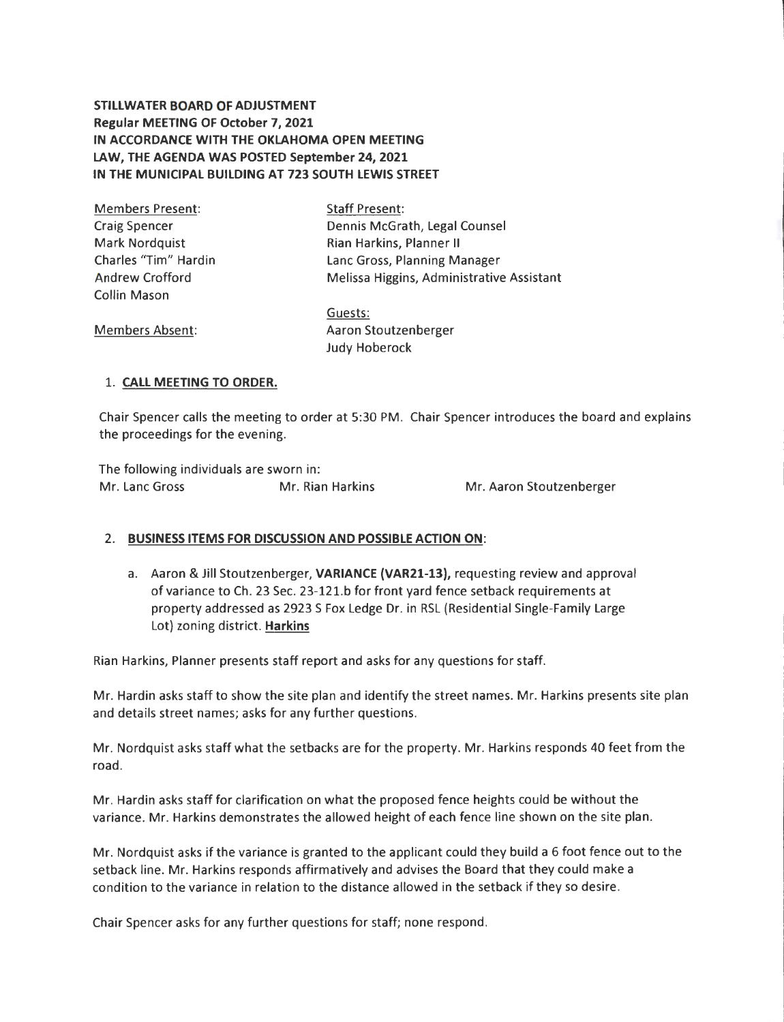**STILLWATER BOARD OF ADJUSTMENT Regular MEETING OF October 7, 2021 IN ACCORDANCE WITH THE OKLAHOMA OPEN MEETING LAW, THE AGENDA WAS POSTED September 24, 2021 IN THE MUNICIPAL BUILDING AT 723 SOUTH LEWIS STREET** 

Members Present: Craig Spencer Mark Nordquist Charles "Tim" Hardin Andrew Crofford Collin Mason

Staff Present: Dennis McGrath, Legal Counsel Rian Harkins, Planner II Lane Gross, Planning Manager Melissa Higgins, Administrative Assistant

Members Absent:

Guests: Aaron Stoutzenberger Judy Hoberock

## 1. **CALL MEETING TO ORDER.**

Chair Spencer calls the meeting to order at 5:30 PM. Chair Spencer introduces the board and explains the proceedings for the evening.

The following individuals are sworn in: Mr. Lanc Gross **Mr. Rian Harkins** Mr. Aaron Stoutzenberger

# 2. **BUSINESS ITEMS FOR DISCUSSION AND POSSIBLE ACTION ON:**

a. Aaron & Jill Stoutzenberger, **VARIANCE (VAR21-13),** requesting review and approval of variance to Ch. 23 Sec. 23-121.b for front yard fence setback requirements at property addressed as 2923 S Fox Ledge Dr. in RSL (Residential Single-Family Large Lot) zoning district. **Harkins** 

Rian Harkins, Planner presents staff report and asks for any questions for staff.

Mr. Hardin asks staff to show the site plan and identify the street names. Mr. Harkins presents site plan and details street names; asks for any further questions.

Mr. Nordquist asks staff what the setbacks are for the property. Mr. Harkins responds 40 feet from the road.

Mr. Hardin asks staff for clarification on what the proposed fence heights could be without the variance. Mr. Harkins demonstrates the allowed height of each fence line shown on the site plan.

Mr. Nordquist asks if the variance is granted to the applicant could they build a 6 foot fence out to the setback line. Mr. Harkins responds affirmatively and advises the Board that they could make a condition to the variance in relation to the distance allowed in the setback if they so desire.

Chair Spencer asks for any further questions for staff; none respond .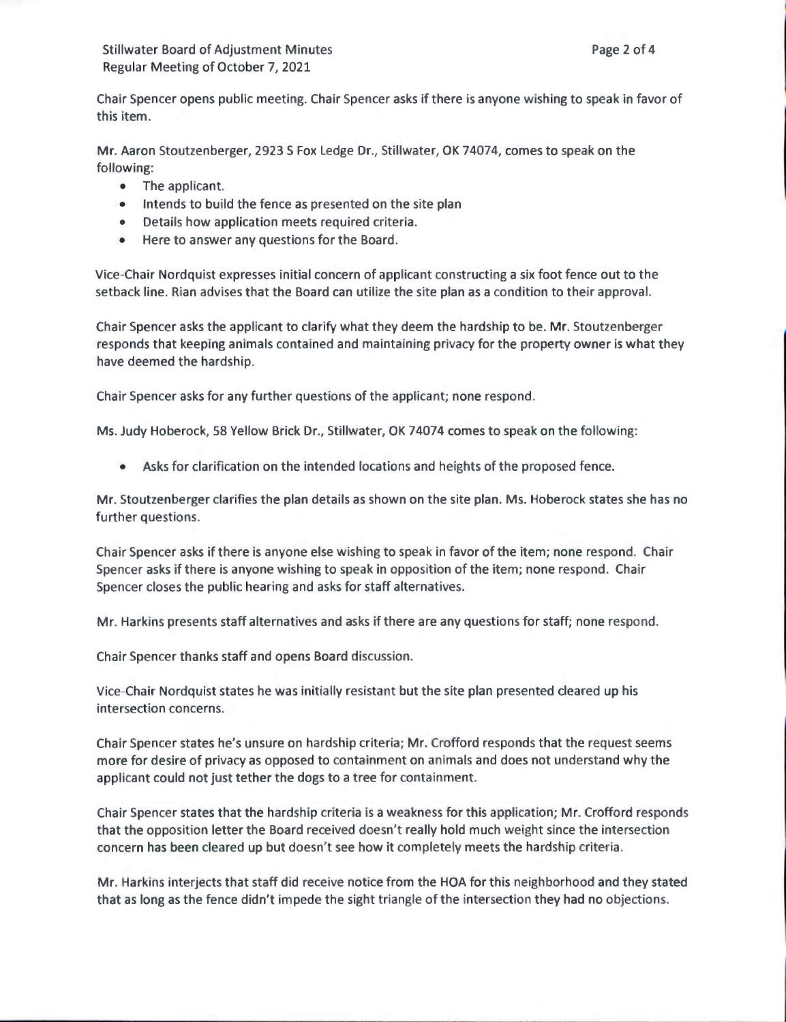------ J

Chair Spencer opens public meeting. Chair Spencer asks if there is anyone wishing to speak in favor of this item.

Mr. Aaron Stoutzenberger, 2923 S Fox Ledge Dr., Stillwater, OK 74074, comes to speak on the following:

- The applicant.
- Intends to build the fence as presented on the site plan
- Details how application meets required criteria .
- Here to answer any questions for the Board.

Vice-Chair Nordquist expresses initial concern of applicant constructing a six foot fence out to the setback line. Rian advises that the Board can utilize the site plan as a condition to their approval.

Chair Spencer asks the applicant to clarify what they deem the hardship to be. Mr. Stoutzenberger responds that keeping animals contained and maintaining privacy for the property owner is what they have deemed the hardship.

Chair Spencer asks for any further questions of the applicant; none respond .

Ms. Judy Hoberock, 58 Yellow Brick Dr., Stillwater, OK 74074 comes to speak on the following:

• Asks for clarification on the intended locations and heights of the proposed fence.

Mr. Stoutzenberger clarifies the plan details as shown on the site plan. Ms. Hoberock states she has no further questions.

Chair Spencer asks if there is anyone else wishing to speak in favor of the item; none respond . Chair Spencer asks if there is anyone wishing to speak in opposition of the item; none respond. Chair Spencer closes the public hearing and asks for staff alternatives.

Mr. Harkins presents staff alternatives and asks if there are any questions for staff; none respond .

Chair Spencer thanks staff and opens Board discussion.

Vice-Chair Nordquist states he was initially resistant but the site plan presented cleared up his intersection concerns.

Chair Spencer states he's unsure on hardship criteria; Mr. Crofford responds that the request seems more for desire of privacy as opposed to containment on animals and does not understand why the applicant could not just tether the dogs to a tree for containment.

Chair Spencer states that the hardship criteria is a weakness for this application; Mr. Crofford responds that the opposition letter the Board received doesn't really hold much weight since the intersection concern has been cleared up but doesn't see how it completely meets the hardship criteria.

Mr. Harkins interjects that staff did receive notice from the HOA for this neighborhood and they stated that as long as the fence didn't impede the sight triangle of the intersection they had no objections.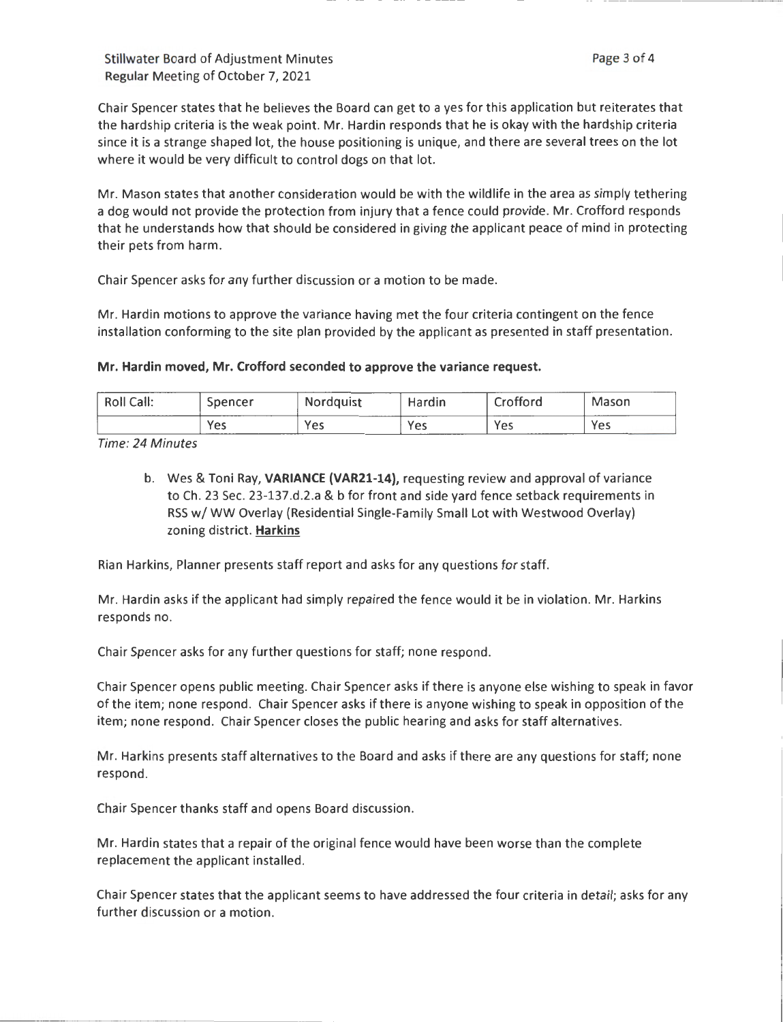Stillwater Board of Adjustment Minutes Regular Meeting of October 7, 2021

Chair Spencer states that he believes the Board can get to a yes for this application but reiterates that the hardship criteria is the weak point. Mr. Hardin responds that he is okay with the hardship criteria since it is a strange shaped lot, the house positioning is unique, and there are several trees on the lot where it would be very difficult to control dogs on that lot.

Mr. Mason states that another consideration would be with the wildlife in the area as simply tethering a dog would not provide the protection from injury that a fence could provide. Mr. Crofford responds that he understands how that should be considered in giving the applicant peace of mind in protecting their pets from harm.

Chair Spencer asks for any further discussion or a motion to be made.

Mr. Hardin motions to approve the variance having met the four criteria contingent on the fence installation conforming to the site plan provided by the applicant as presented in staff presentation.

### **Mr. Hardin moved, Mr. Crofford seconded to approve the variance request.**

| Roll Call: | Spencer | <b>Nordquist</b>  | Hardin              | Crofford       | Mason |
|------------|---------|-------------------|---------------------|----------------|-------|
| ---------- | Yes     | ----------<br>Yes | ____<br>Yes<br>---- | Yes<br>------- | Yes   |

Time: 24 Minutes

b. Wes & Toni Ray, **VARIANCE (VAR21-14),** requesting review and approval of variance to Ch. 23 Sec. 23-137.d.2.a & b for front and side yard fence setback requirements in RSS w/ WW Overlay (Residential Single-Family Small Lot with Westwood Overlay) zoning district. **Harkins** 

Rian Harkins, Planner presents staff report and asks for any questions for staff.

Mr. Hardin asks if the applicant had simply repaired the fence would it be in violation. Mr. Harkins responds no.

Chair Spencer asks for any further questions for staff; none respond.

Chair Spencer opens public meeting. Chair Spencer asks if there is anyone else wishing to speak in favor of the item; none respond. Chair Spencer asks if there is anyone wishing to speak in opposition of the item; none respond. Chair Spencer closes the public hearing and asks for staff alternatives.

Mr. Harkins presents staff alternatives to the Board and asks if there are any questions for staff; none respond.

Chair Spencer thanks staff and opens Board discussion.

Mr. Hardin states that a repair of the original fence would have been worse than the complete replacement the applicant installed.

Chair Spencer states that the applicant seems to have addressed the four criteria in detail; asks for any further discussion or a motion.